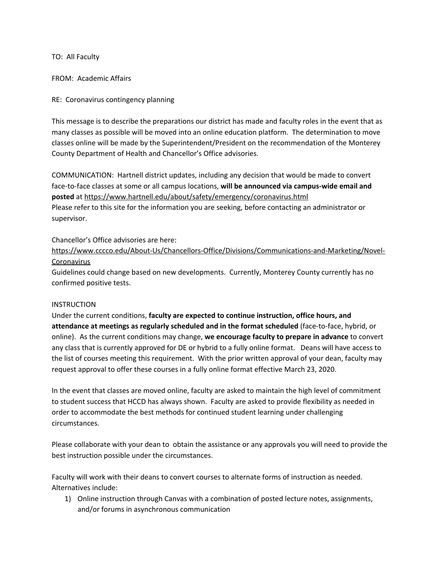TO: All Faculty

FROM: Academic Affairs

## RE: Coronavirus contingency planning

This message is to describe the preparations our district has made and faculty roles in the event that as many classes as possible will be moved into an online education platform. The determination to move classes online will be made by the Superintendent/President on the recommendation of the Monterey County Department of Health and Chancellor's Office advisories.

COMMUNICATION: Hartnell district updates, including any decision that would be made to convert face-to-face classes at some or all campus locations, **will be announced via campus-wide email and posted** at <https://www.hartnell.edu/about/safety/emergency/coronavirus.html> Please refer to this site for the information you are seeking, before contacting an administrator or supervisor.

### Chancellor's Office advisories are here:

[https://www.cccco.edu/About-Us/Chancellors-Office/Divisions/Communications-and-Marketing/Novel-](https://www.cccco.edu/About-Us/Chancellors-Office/Divisions/Communications-and-Marketing/Novel-Coronavirus)[Coronavirus](https://www.cccco.edu/About-Us/Chancellors-Office/Divisions/Communications-and-Marketing/Novel-Coronavirus)

Guidelines could change based on new developments. Currently, Monterey County currently has no confirmed positive tests.

### INSTRUCTION

Under the current conditions, **faculty are expected to continue instruction, office hours, and attendance at meetings as regularly scheduled and in the format scheduled** (face-to-face, hybrid, or online). As the current conditions may change, **we encourage faculty to prepare in advance** to convert any class that is currently approved for DE or hybrid to a fully online format. Deans will have access to the list of courses meeting this requirement. With the prior written approval of your dean, faculty may request approval to offer these courses in a fully online format effective March 23, 2020.

In the event that classes are moved online, faculty are asked to maintain the high level of commitment to student success that HCCD has always shown. Faculty are asked to provide flexibility as needed in order to accommodate the best methods for continued student learning under challenging circumstances.

Please collaborate with your dean to obtain the assistance or any approvals you will need to provide the best instruction possible under the circumstances.

Faculty will work with their deans to convert courses to alternate forms of instruction as needed. Alternatives include:

1) Online instruction through Canvas with a combination of posted lecture notes, assignments, and/or forums in asynchronous communication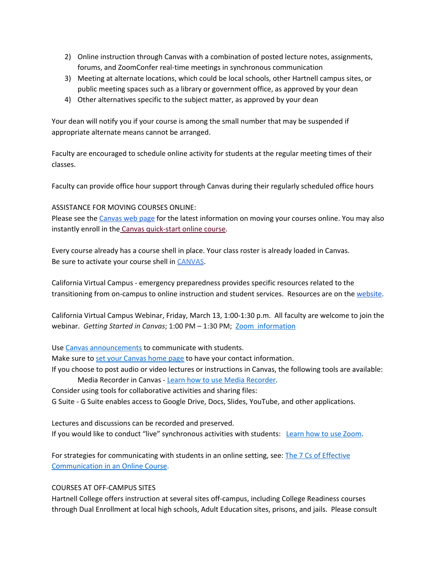- 2) Online instruction through Canvas with a combination of posted lecture notes, assignments, forums, and ZoomConfer real-time meetings in synchronous communication
- 3) Meeting at alternate locations, which could be local schools, other Hartnell campus sites, or public meeting spaces such as a library or government office, as approved by your dean
- 4) Other alternatives specific to the subject matter, as approved by your dean

Your dean will notify you if your course is among the small number that may be suspended if appropriate alternate means cannot be arranged.

Faculty are encouraged to schedule online activity for students at the regular meeting times of their classes.

Faculty can provide office hour support through Canvas during their regularly scheduled office hours

# ASSISTANCE FOR MOVING COURSES ONLINE:

Please see the [Canvas](https://www.hartnell.edu/pdc/canvas/index.html) web page for the latest information on moving your courses online. You may also instantly enroll in the Canvas [quick-start](https://hartnell.instructure.com/enroll/RCDNNN) online course.

Every course already has a course shell in place. Your class roster is already loaded in Canvas. Be sure to activate your course shell in [CANVAS.](https://www.hartnell.edu/students/distance-education/index.html)

California Virtual Campus - emergency preparedness provides specific resources related to the transitioning from on-campus to online instruction and student services. Resources are on the [website.](http://cvc.edu/resources)

California Virtual Campus Webinar, Friday, March 13, 1:00-1:30 p.m. All faculty are welcome to join the webinar. *Getting Started in Canvas*; 1:00 PM – 1:30 PM; Zoom [information](https://cccconfer.zoom.us/j/904554977)

Use Canvas [announcements](https://community.canvaslms.com/docs/DOC-10405-415250731&sa=D&ust=1583208481442000) to communicate with students.

Make sure to set your [Canvas](https://community.canvaslms.com/docs/DOC-12784-415241445) home page to have your contact information.

If you choose to post audio or video lectures or instructions in Canvas, the following tools are available: Media Recorder in Canvas - Learn how to use Media [Recorder.](https://community.canvaslms.com/docs/DOC-13057-4152719747)

Consider using tools for collaborative activities and sharing files:

G Suite - G Suite enables access to Google Drive, Docs, Slides, YouTube, and other applications.

Lectures and discussions can be recorded and preserved. If you would like to conduct "live" synchronous activities with students: Learn how to use [Zoom](https://support.zoom.us/hc/en-us/articles/201362033-Getting-Started-on-Windows-and-Mac).

For strategies for communicating with students in an online setting, see: The 7 Cs of [Effective](https://web.uri.edu/teachonline/effective-communication-in-your-online-class/) [Communication](https://web.uri.edu/teachonline/effective-communication-in-your-online-class/) in an Online Course.

### COURSES AT OFF-CAMPUS SITES

Hartnell College offers instruction at several sites off-campus, including College Readiness courses through Dual Enrollment at local high schools, Adult Education sites, prisons, and jails. Please consult